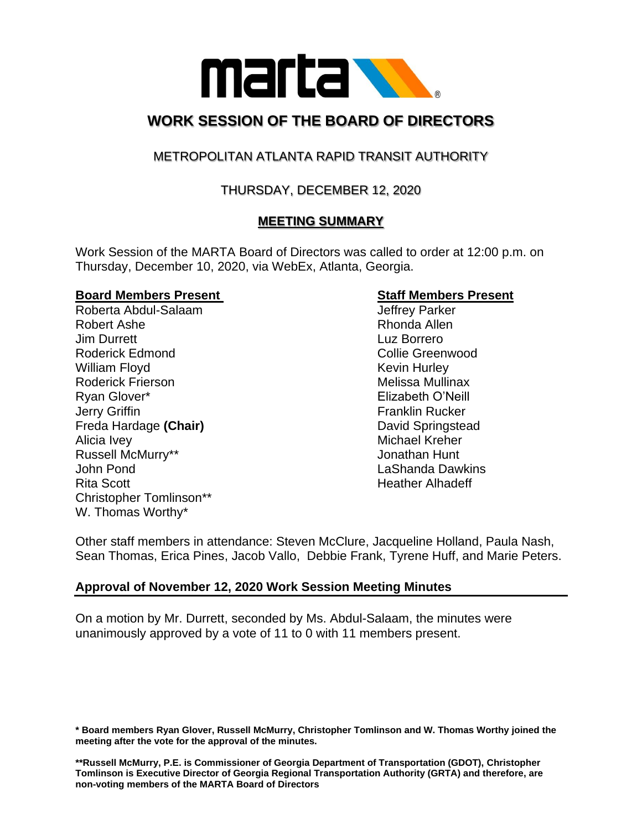

# **WORK SESSION OF THE BOARD OF DIRECTORS**

# METROPOLITAN ATLANTA RAPID TRANSIT AUTHORITY

# THURSDAY, DECEMBER 12, 2020

# **MEETING SUMMARY**

Work Session of the MARTA Board of Directors was called to order at 12:00 p.m. on Thursday, December 10, 2020, via WebEx, Atlanta, Georgia.

#### **Board Members Present Staff Members Present**

Roberta Abdul-Salaam and Jeffrey Parker Robert Ashe **Rhonda** Allen Jim Durrett Luz Borrero Roderick Edmond **Collie Greenwood Collie Greenwood** William Floyd **Kevin Hurley** Kevin Hurley Roderick Frierson **Melissa Mullinax** Melissa Mullinax Ryan Glover\* Elizabeth O'Neill **Jerry Griffin Franklin Rucker** Freda Hardage **(Chair)** David Springstead Alicia Ivey **Michael Kreher** Russell McMurry\*\* The Constantine of the United States of the United States of the United States of the United States of the United States of the United States of the United States of the United States of the United States John Pond LaShanda Dawkins Rita Scott **Heather Alhadeff Heather Alhadeff** Christopher Tomlinson\*\* W. Thomas Worthy\*

Other staff members in attendance: Steven McClure, Jacqueline Holland, Paula Nash, Sean Thomas, Erica Pines, Jacob Vallo, Debbie Frank, Tyrene Huff, and Marie Peters.

# **Approval of November 12, 2020 Work Session Meeting Minutes**

On a motion by Mr. Durrett, seconded by Ms. Abdul-Salaam, the minutes were unanimously approved by a vote of 11 to 0 with 11 members present.

**\* Board members Ryan Glover, Russell McMurry, Christopher Tomlinson and W. Thomas Worthy joined the meeting after the vote for the approval of the minutes.** 

**\*\*Russell McMurry, P.E. is Commissioner of Georgia Department of Transportation (GDOT), Christopher Tomlinson is Executive Director of Georgia Regional Transportation Authority (GRTA) and therefore, are non-voting members of the MARTA Board of Directors**